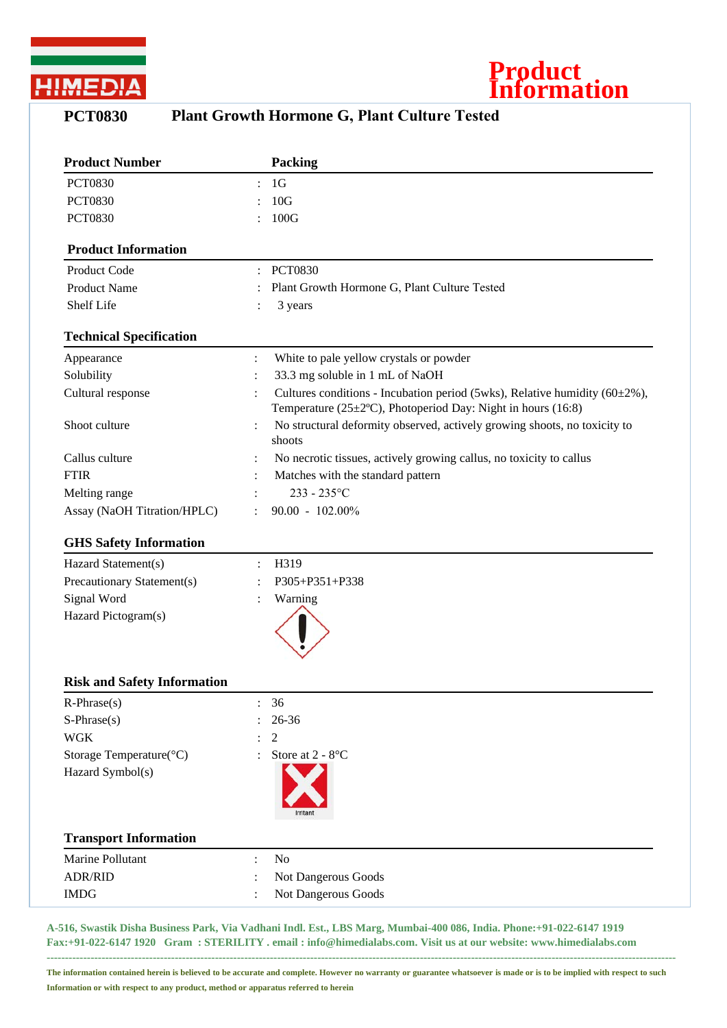



## **PCT0830 Plant Growth Hormone G, Plant Culture Tested**

| <b>Product Number</b>          |                | Packing                                                                                                                                          |
|--------------------------------|----------------|--------------------------------------------------------------------------------------------------------------------------------------------------|
| <b>PCT0830</b>                 |                | 1 <sub>G</sub>                                                                                                                                   |
| <b>PCT0830</b>                 |                | 10G                                                                                                                                              |
| <b>PCT0830</b>                 |                | 100G                                                                                                                                             |
| <b>Product Information</b>     |                |                                                                                                                                                  |
| Product Code                   |                | <b>PCT0830</b>                                                                                                                                   |
| <b>Product Name</b>            |                | Plant Growth Hormone G, Plant Culture Tested                                                                                                     |
| Shelf Life                     |                | 3 years                                                                                                                                          |
| <b>Technical Specification</b> |                |                                                                                                                                                  |
| Appearance                     | :              | White to pale yellow crystals or powder                                                                                                          |
| Solubility                     |                | 33.3 mg soluble in 1 mL of NaOH                                                                                                                  |
| Cultural response              |                | Cultures conditions - Incubation period (5wks), Relative humidity (60±2%),<br>Temperature ( $25\pm2$ °C), Photoperiod Day: Night in hours (16:8) |
| Shoot culture                  |                | No structural deformity observed, actively growing shoots, no toxicity to<br>shoots                                                              |
| Callus culture                 |                | No necrotic tissues, actively growing callus, no toxicity to callus                                                                              |
| <b>FTIR</b>                    |                | Matches with the standard pattern                                                                                                                |
| Melting range                  |                | $233 - 235$ °C                                                                                                                                   |
| Assay (NaOH Titration/HPLC)    |                | 90.00 - 102.00%                                                                                                                                  |
| <b>GHS Safety Information</b>  |                |                                                                                                                                                  |
| Hazard Statement(s)            | $\ddot{\cdot}$ | H319                                                                                                                                             |
| Precautionary Statement(s)     |                | P305+P351+P338                                                                                                                                   |
| Signal Word                    |                | Warning                                                                                                                                          |
| Hazard Pictogram(s)            |                |                                                                                                                                                  |

## **Risk and Safety Information**

| $R$ -Phrase $(s)$                   | $\ddot{\phantom{a}}$      | 36                                |
|-------------------------------------|---------------------------|-----------------------------------|
| $S-Phrase(s)$                       |                           | $: 26-36$                         |
| <b>WGK</b>                          |                           | $\therefore$ 2                    |
| Storage Temperature $({}^{\circ}C)$ |                           | : Store at $2 - 8$ <sup>o</sup> C |
| Hazard Symbol(s)                    |                           | Irritant                          |
| <b>Transport Information</b>        |                           |                                   |
| Marine Pollutant                    | ٠                         | N <sub>o</sub>                    |
| <b>ADR/RID</b>                      | ٠<br>$\ddot{\phantom{a}}$ | Not Dangerous Goods               |
| <b>IMDG</b>                         | ٠<br>$\ddot{\phantom{a}}$ | Not Dangerous Goods               |

**A-516, Swastik Disha Business Park, Via Vadhani Indl. Est., LBS Marg, Mumbai-400 086, India. Phone:+91-022-6147 1919 Fax:+91-022-6147 1920 Gram : STERILITY . email : info@himedialabs.com. Visit us at our website: www.himedialabs.com ----------------------------------------------------------------------------------------------------------------------------------------------------------------------------**

**The information contained herein is believed to be accurate and complete. However no warranty or guarantee whatsoever is made or is to be implied with respect to such Information or with respect to any product, method or apparatus referred to herein**